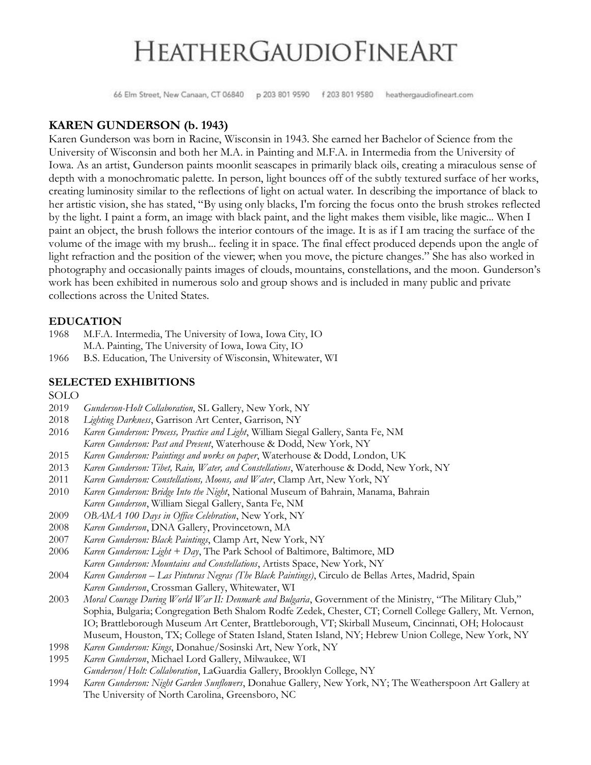66 Elm Street, New Canaan, CT 06840 p 203 801 9590 f 203 801 9580 heathergaudiofineart.com

### **KAREN GUNDERSON (b. 1943)**

Karen Gunderson was born in Racine, Wisconsin in 1943. She earned her Bachelor of Science from the University of Wisconsin and both her M.A. in Painting and M.F.A. in Intermedia from the University of Iowa. As an artist, Gunderson paints moonlit seascapes in primarily black oils, creating a miraculous sense of depth with a monochromatic palette. In person, light bounces off of the subtly textured surface of her works, creating luminosity similar to the reflections of light on actual water. In describing the importance of black to her artistic vision, she has stated, "By using only blacks, I'm forcing the focus onto the brush strokes reflected by the light. I paint a form, an image with black paint, and the light makes them visible, like magic... When I paint an object, the brush follows the interior contours of the image. It is as if I am tracing the surface of the volume of the image with my brush... feeling it in space. The final effect produced depends upon the angle of light refraction and the position of the viewer; when you move, the picture changes." She has also worked in photography and occasionally paints images of clouds, mountains, constellations, and the moon. Gunderson's work has been exhibited in numerous solo and group shows and is included in many public and private collections across the United States.

#### **EDUCATION**

- 1968 M.F.A. Intermedia, The University of Iowa, Iowa City, IO M.A. Painting, The University of Iowa, Iowa City, IO
- 1966 B.S. Education, The University of Wisconsin, Whitewater, WI

### **SELECTED EXHIBITIONS**

SOLO

- 2019 *Gunderson-Holt Collaboration*, SL Gallery, New York, NY
- 2018 *Lighting Darkness*, Garrison Art Center, Garrison, NY
- 2016 *Karen Gunderson: Process, Practice and Light*, William Siegal Gallery, Santa Fe, NM *Karen Gunderson: Past and Present*, Waterhouse & Dodd, New York, NY
- 2015 *Karen Gunderson: Paintings and works on paper*, Waterhouse & Dodd, London, UK
- 2013 *Karen Gunderson: Tibet, Rain, Water, and Constellations*, Waterhouse & Dodd, New York, NY
- 2011 *Karen Gunderson: Constellations, Moons, and Water*, Clamp Art, New York, NY
- 2010 *Karen Gunderson: Bridge Into the Night*, National Museum of Bahrain, Manama, Bahrain *Karen Gunderson*, William Siegal Gallery, Santa Fe, NM
- 2009 *OBAMA 100 Days in Office Celebration*, New York, NY
- 2008 *Karen Gunderson*, DNA Gallery, Provincetown, MA
- 2007 *Karen Gunderson: Black Paintings*, Clamp Art, New York, NY
- 2006 *Karen Gunderson: Light + Day*, The Park School of Baltimore, Baltimore, MD *Karen Gunderson: Mountains and Constellations*, Artists Space, New York, NY
- 2004 *Karen Gunderson – Las Pinturas Negras (The Black Paintings)*, Circulo de Bellas Artes, Madrid, Spain *Karen Gunderson*, Crossman Gallery, Whitewater, WI
- 2003 *Moral Courage During World War II: Denmark and Bulgaria*, Government of the Ministry, "The Military Club," Sophia, Bulgaria; Congregation Beth Shalom Rodfe Zedek, Chester, CT; Cornell College Gallery, Mt. Vernon, IO; Brattleborough Museum Art Center, Brattleborough, VT; Skirball Museum, Cincinnati, OH; Holocaust Museum, Houston, TX; College of Staten Island, Staten Island, NY; Hebrew Union College, New York, NY
- 1998 *Karen Gunderson: Kings*, Donahue/Sosinski Art, New York, NY
- 1995 *Karen Gunderson*, Michael Lord Gallery, Milwaukee, WI
- *Gunderson/Holt: Collaboration*, LaGuardia Gallery, Brooklyn College, NY
- 1994 *Karen Gunderson: Night Garden Sunflowers*, Donahue Gallery, New York, NY; The Weatherspoon Art Gallery at The University of North Carolina, Greensboro, NC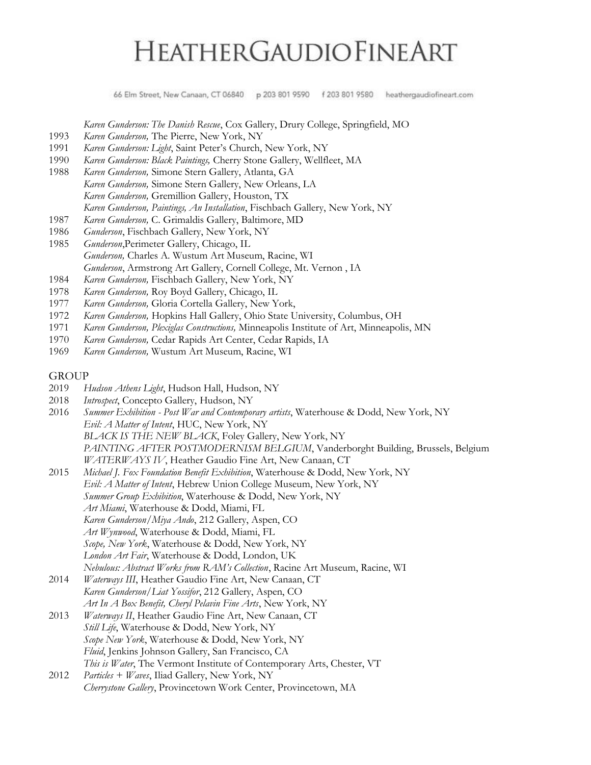66 Elm Street, New Canaan, CT 06840 p 203 801 9590 f 203 801 9580 heathergaudiofineart.com

*Karen Gunderson: The Danish Rescue*, Cox Gallery, Drury College, Springfield, MO

- 1993 *Karen Gunderson,* The Pierre, New York, NY
- 1991 *Karen Gunderson: Light*, Saint Peter's Church, New York, NY
- 1990 *Karen Gunderson: Black Paintings,* Cherry Stone Gallery, Wellfleet, MA
- 1988 *Karen Gunderson,* Simone Stern Gallery, Atlanta, GA *Karen Gunderson,* Simone Stern Gallery, New Orleans, LA *Karen Gunderson,* Gremillion Gallery, Houston, TX *Karen Gunderson, Paintings, An Installation*, Fischbach Gallery, New York, NY
- 1987 *Karen Gunderson,* C. Grimaldis Gallery, Baltimore, MD
- 1986 *Gunderson*, Fischbach Gallery, New York, NY
- 1985 *Gunderson*,Perimeter Gallery, Chicago, IL *Gunderson,* Charles A. Wustum Art Museum, Racine, WI *Gunderson*, Armstrong Art Gallery, Cornell College, Mt. Vernon , IA
- 1984 *Karen Gunderson,* Fischbach Gallery, New York, NY
- 1978 *Karen Gunderson,* Roy Boyd Gallery, Chicago, IL
- 1977 *Karen Gunderson,* Gloria Cortella Gallery, New York,
- 1972 *Karen Gunderson,* Hopkins Hall Gallery, Ohio State University, Columbus, OH
- 1971 *Karen Gunderson, Plexiglas Constructions,* Minneapolis Institute of Art, Minneapolis, MN
- 1970 *Karen Gunderson,* Cedar Rapids Art Center, Cedar Rapids, IA
- 1969 *Karen Gunderson,* Wustum Art Museum, Racine, WI

#### GROUP

- 2019 *Hudson Athens Light*, Hudson Hall, Hudson, NY
- 2018 *Introspect*, Concepto Gallery, Hudson, NY
- 2016 *Summer Exhibition - Post War and Contemporary artists*, Waterhouse & Dodd, New York, NY *Evil: A Matter of Intent*, HUC, New York, NY *BLACK IS THE NEW BLACK*, Foley Gallery, New York, NY *PAINTING AFTER POSTMODERNISM BELGIUM*, Vanderborght Building, Brussels, Belgium *WATERWAYS IV*, Heather Gaudio Fine Art, New Canaan, CT
- 2015 *Michael J. Fox Foundation Benefit Exhibition*, Waterhouse & Dodd, New York, NY *Evil: A Matter of Intent*, Hebrew Union College Museum, New York, NY *Summer Group Exhibition*, Waterhouse & Dodd, New York, NY *Art Miami*, Waterhouse & Dodd, Miami, FL *Karen Gunderson/Miya Ando*, 212 Gallery, Aspen, CO *Art Wynwood*, Waterhouse & Dodd, Miami, FL *Scope, New York*, Waterhouse & Dodd, New York, NY *London Art Fair*, Waterhouse & Dodd, London, UK *Nebulous: Abstract Works from RAM's Collection*, Racine Art Museum, Racine, WI
- 2014 *Waterways III*, Heather Gaudio Fine Art, New Canaan, CT *Karen Gunderson/Liat Yossifor*, 212 Gallery, Aspen, CO *Art In A Box Benefit, Cheryl Pelavin Fine Arts*, New York, NY
- 2013 *Waterways II*, Heather Gaudio Fine Art, New Canaan, CT *Still Life*, Waterhouse & Dodd, New York, NY *Scope New York*, Waterhouse & Dodd, New York, NY *Fluid*, Jenkins Johnson Gallery, San Francisco, CA *This is Water*, The Vermont Institute of Contemporary Arts, Chester, VT
- 2012 *Particles + Waves*, Iliad Gallery, New York, NY *Cherrystone Gallery*, Provincetown Work Center, Provincetown, MA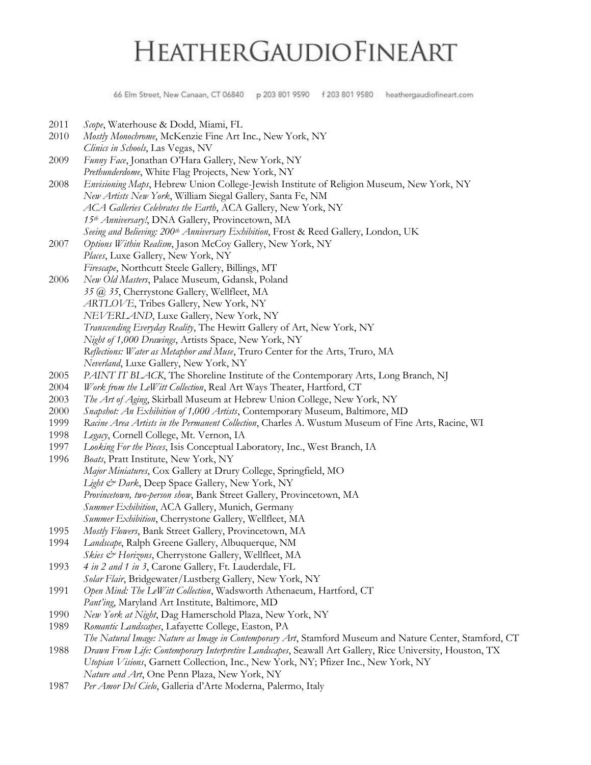66 Elm Street, New Canaan, CT 06840 p 203 801 9590 f 203 801 9580 heathergaudiofineart.com

2011 *Scope*, Waterhouse & Dodd, Miami, FL 2010 *Mostly Monochrome*, McKenzie Fine Art Inc., New York, NY *Clinics in Schools*, Las Vegas, NV 2009 *Funny Face*, Jonathan O'Hara Gallery, New York, NY *Prethunderdome*, White Flag Projects, New York, NY 2008 *Envisioning Maps*, Hebrew Union College-Jewish Institute of Religion Museum, New York, NY *New Artists New York*, William Siegal Gallery, Santa Fe, NM *ACA Galleries Celebrates the Earth*, ACA Gallery, New York, NY *15th Anniversary!*, DNA Gallery, Provincetown, MA *Seeing and Believing: 200th Anniversary Exhibition*, Frost & Reed Gallery, London, UK 2007 *Options Within Realism*, Jason McCoy Gallery, New York, NY *Places*, Luxe Gallery, New York, NY *Firescape*, Northcutt Steele Gallery, Billings, MT 2006 *New Old Masters*, Palace Museum, Gdansk, Poland *35 @ 35*, Cherrystone Gallery, Wellfleet, MA *ARTLOVE*, Tribes Gallery, New York, NY *NEVERLAND*, Luxe Gallery, New York, NY *Transcending Everyday Reality*, The Hewitt Gallery of Art, New York, NY *Night of 1,000 Drawings*, Artists Space, New York, NY *Reflections: Water as Metaphor and Muse*, Truro Center for the Arts, Truro, MA *Neverland*, Luxe Gallery, New York, NY 2005 *PAINT IT BLACK*, The Shoreline Institute of the Contemporary Arts, Long Branch, NJ 2004 *Work from the LeWitt Collection*, Real Art Ways Theater, Hartford, CT 2003 *The Art of Aging*, Skirball Museum at Hebrew Union College, New York, NY 2000 *Snapshot: An Exhibition of 1,000 Artists*, Contemporary Museum, Baltimore, MD 1999 *Racine Area Artists in the Permanent Collection*, Charles A. Wustum Museum of Fine Arts, Racine, WI 1998 *Legacy*, Cornell College, Mt. Vernon, IA 1997 *Looking For the Pieces*, Isis Conceptual Laboratory, Inc., West Branch, IA 1996 *Boats*, Pratt Institute, New York, NY *Major Miniatures*, Cox Gallery at Drury College, Springfield, MO *Light & Dark*, Deep Space Gallery, New York, NY *Provincetown, two-person show*, Bank Street Gallery, Provincetown, MA *Summer Exhibition*, ACA Gallery, Munich, Germany *Summer Exhibition*, Cherrystone Gallery, Wellfleet, MA 1995 *Mostly Flowers*, Bank Street Gallery, Provincetown, MA 1994 *Landscape*, Ralph Greene Gallery, Albuquerque, NM *Skies & Horizons*, Cherrystone Gallery, Wellfleet, MA 1993 *4 in 2 and 1 in 3*, Carone Gallery, Ft. Lauderdale, FL *Solar Flair*, Bridgewater/Lustberg Gallery, New York, NY 1991 *Open Mind: The LeWitt Collection*, Wadsworth Athenaeum, Hartford, CT *Pant'ing*, Maryland Art Institute, Baltimore, MD 1990 *New York at Night*, Dag Hamerschold Plaza, New York, NY 1989 *Romantic Landscapes*, Lafayette College, Easton, PA *The Natural Image: Nature as Image in Contemporary Art*, Stamford Museum and Nature Center, Stamford, CT 1988 *Drawn From Life: Contemporary Interpretive Landscapes*, Seawall Art Gallery, Rice University, Houston, TX *Utopian Visions*, Garnett Collection, Inc., New York, NY; Pfizer Inc., New York, NY *Nature and Art*, One Penn Plaza, New York, NY 1987 *Per Amor Del Cielo*, Galleria d'Arte Moderna, Palermo, Italy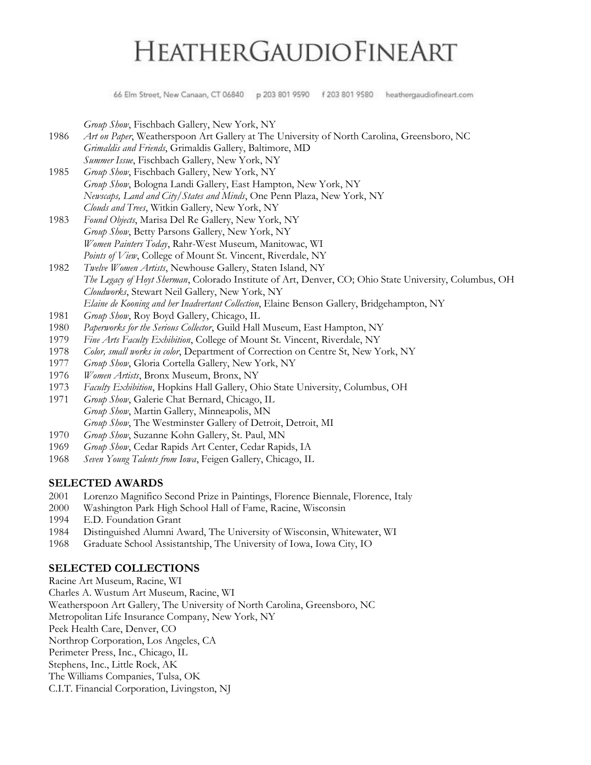66 Elm Street, New Canaan, CT 06840 p 203 801 9590 f 203 801 9580 heathergaudiofineart.com

*Group Show*, Fischbach Gallery, New York, NY

- 1986 *Art on Paper*, Weatherspoon Art Gallery at The University of North Carolina, Greensboro, NC *Grimaldis and Friends*, Grimaldis Gallery, Baltimore, MD *Summer Issue*, Fischbach Gallery, New York, NY
- 1985 *Group Show*, Fischbach Gallery, New York, NY *Group Show*, Bologna Landi Gallery, East Hampton, New York, NY *Newscaps, Land and City/States and Minds*, One Penn Plaza, New York, NY *Clouds and Trees*, Witkin Gallery, New York, NY
- 1983 *Found Objects*, Marisa Del Re Gallery, New York, NY *Group Show*, Betty Parsons Gallery, New York, NY *Women Painters Today*, Rahr-West Museum, Manitowac, WI *Points of View*, College of Mount St. Vincent, Riverdale, NY
- 1982 *Twelve Women Artists*, Newhouse Gallery, Staten Island, NY *The Legacy of Hoyt Sherman*, Colorado Institute of Art, Denver, CO; Ohio State University, Columbus, OH *Cloudworks*, Stewart Neil Gallery, New York, NY *Elaine de Kooning and her Inadvertant Collection*, Elaine Benson Gallery, Bridgehampton, NY
- 1981 *Group Show*, Roy Boyd Gallery, Chicago, IL
- 1980 *Paperworks for the Serious Collector*, Guild Hall Museum, East Hampton, NY
- 1979 *Fine Arts Faculty Exhibition*, College of Mount St. Vincent, Riverdale, NY
- 1978 *Color, small works in color*, Department of Correction on Centre St, New York, NY
- 1977 *Group Show*, Gloria Cortella Gallery, New York, NY
- 1976 *Women Artists*, Bronx Museum, Bronx, NY
- 1973 *Faculty Exhibition*, Hopkins Hall Gallery, Ohio State University, Columbus, OH
- 1971 *Group Show*, Galerie Chat Bernard, Chicago, IL *Group Show*, Martin Gallery, Minneapolis, MN *Group Show*, The Westminster Gallery of Detroit, Detroit, MI
- 1970 *Group Show*, Suzanne Kohn Gallery, St. Paul, MN
- 1969 *Group Show*, Cedar Rapids Art Center, Cedar Rapids, IA
- 1968 *Seven Young Talents from Iowa*, Feigen Gallery, Chicago, IL

#### **SELECTED AWARDS**

- 2001 Lorenzo Magnifico Second Prize in Paintings, Florence Biennale, Florence, Italy
- 2000 Washington Park High School Hall of Fame, Racine, Wisconsin
- 1994 E.D. Foundation Grant
- 1984 Distinguished Alumni Award, The University of Wisconsin, Whitewater, WI
- 1968 Graduate School Assistantship, The University of Iowa, Iowa City, IO

#### **SELECTED COLLECTIONS**

Racine Art Museum, Racine, WI Charles A. Wustum Art Museum, Racine, WI Weatherspoon Art Gallery, The University of North Carolina, Greensboro, NC Metropolitan Life Insurance Company, New York, NY Peek Health Care, Denver, CO Northrop Corporation, Los Angeles, CA Perimeter Press, Inc., Chicago, IL Stephens, Inc., Little Rock, AK The Williams Companies, Tulsa, OK C.I.T. Financial Corporation, Livingston, NJ